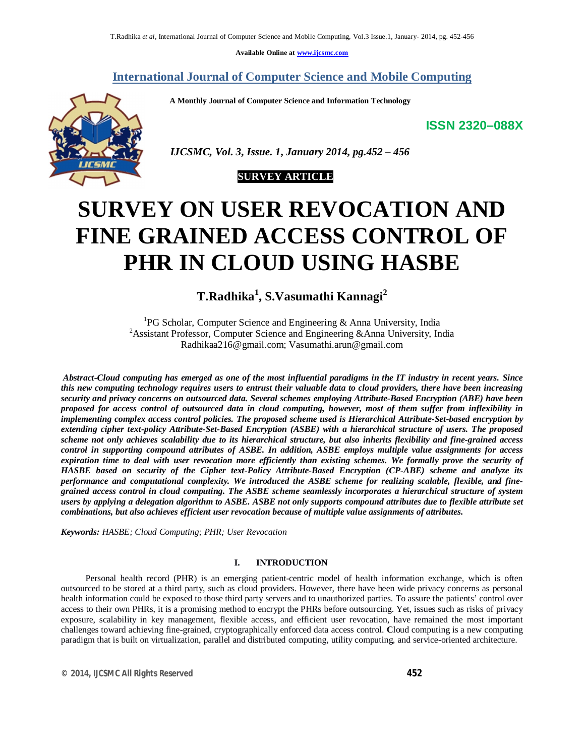**Available Online at www.ijcsmc.com**

## **International Journal of Computer Science and Mobile Computing**

 **A Monthly Journal of Computer Science and Information Technology**

**ISSN 2320–088X**



 *IJCSMC, Vol. 3, Issue. 1, January 2014, pg.452 – 456*



# **SURVEY ON USER REVOCATION AND FINE GRAINED ACCESS CONTROL OF PHR IN CLOUD USING HASBE**

**T.Radhika<sup>1</sup> , S.Vasumathi Kannagi<sup>2</sup>**

<sup>1</sup>PG Scholar, Computer Science and Engineering & Anna University, India <sup>2</sup>Assistant Professor, Computer Science and Engineering &Anna University, India Radhikaa216@gmail.com; Vasumathi.arun@gmail.com

*Abstract-Cloud computing has emerged as one of the most influential paradigms in the IT industry in recent years. Since this new computing technology requires users to entrust their valuable data to cloud providers, there have been increasing security and privacy concerns on outsourced data. Several schemes employing Attribute-Based Encryption (ABE) have been proposed for access control of outsourced data in cloud computing, however, most of them suffer from inflexibility in implementing complex access control policies. The proposed scheme used is Hierarchical Attribute-Set-based encryption by extending cipher text-policy Attribute-Set-Based Encryption (ASBE) with a hierarchical structure of users. The proposed scheme not only achieves scalability due to its hierarchical structure, but also inherits flexibility and fine-grained access control in supporting compound attributes of ASBE. In addition, ASBE employs multiple value assignments for access expiration time to deal with user revocation more efficiently than existing schemes. We formally prove the security of HASBE based on security of the Cipher text-Policy Attribute-Based Encryption (CP-ABE) scheme and analyze its performance and computational complexity. We introduced the ASBE scheme for realizing scalable, flexible, and finegrained access control in cloud computing. The ASBE scheme seamlessly incorporates a hierarchical structure of system users by applying a delegation algorithm to ASBE. ASBE not only supports compound attributes due to flexible attribute set combinations, but also achieves efficient user revocation because of multiple value assignments of attributes.*

*Keywords: HASBE; Cloud Computing; PHR; User Revocation*

### **I. INTRODUCTION**

 Personal health record (PHR) is an emerging patient-centric model of health information exchange, which is often outsourced to be stored at a third party, such as cloud providers. However, there have been wide privacy concerns as personal health information could be exposed to those third party servers and to unauthorized parties. To assure the patients' control over access to their own PHRs, it is a promising method to encrypt the PHRs before outsourcing. Yet, issues such as risks of privacy exposure, scalability in key management, flexible access, and efficient user revocation, have remained the most important challenges toward achieving fine-grained, cryptographically enforced data access control. **C**loud computing is a new computing paradigm that is built on virtualization, parallel and distributed computing, utility computing, and service-oriented architecture.

*© 2014, IJCSMC All Rights Reserved 452*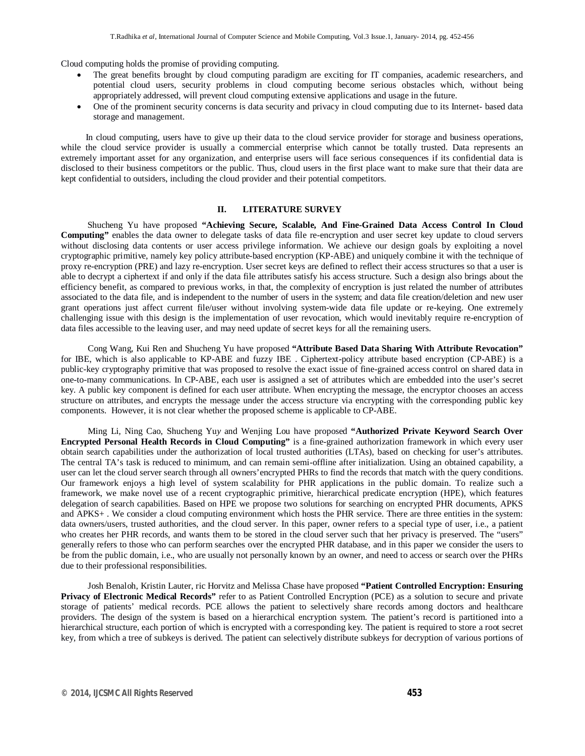Cloud computing holds the promise of providing computing.

- The great benefits brought by cloud computing paradigm are exciting for IT companies, academic researchers, and potential cloud users, security problems in cloud computing become serious obstacles which, without being appropriately addressed, will prevent cloud computing extensive applications and usage in the future.
- One of the prominent security concerns is data security and privacy in cloud computing due to its Internet- based data storage and management.

 In cloud computing, users have to give up their data to the cloud service provider for storage and business operations, while the cloud service provider is usually a commercial enterprise which cannot be totally trusted. Data represents an extremely important asset for any organization, and enterprise users will face serious consequences if its confidential data is disclosed to their business competitors or the public. Thus, cloud users in the first place want to make sure that their data are kept confidential to outsiders, including the cloud provider and their potential competitors.

#### **II. LITERATURE SURVEY**

 Shucheng Yu have proposed **"Achieving Secure, Scalable, And Fine-Grained Data Access Control In Cloud Computing"** enables the data owner to delegate tasks of data file re-encryption and user secret key update to cloud servers without disclosing data contents or user access privilege information. We achieve our design goals by exploiting a novel cryptographic primitive, namely key policy attribute-based encryption (KP-ABE) and uniquely combine it with the technique of proxy re-encryption (PRE) and lazy re-encryption. User secret keys are defined to reflect their access structures so that a user is able to decrypt a ciphertext if and only if the data file attributes satisfy his access structure. Such a design also brings about the efficiency benefit, as compared to previous works, in that, the complexity of encryption is just related the number of attributes associated to the data file, and is independent to the number of users in the system; and data file creation/deletion and new user grant operations just affect current file/user without involving system-wide data file update or re-keying. One extremely challenging issue with this design is the implementation of user revocation, which would inevitably require re-encryption of data files accessible to the leaving user, and may need update of secret keys for all the remaining users.

 Cong Wang, Kui Ren and Shucheng Yu have proposed **"Attribute Based Data Sharing With Attribute Revocation"** for IBE, which is also applicable to KP-ABE and fuzzy IBE . Ciphertext-policy attribute based encryption (CP-ABE) is a public-key cryptography primitive that was proposed to resolve the exact issue of fine-grained access control on shared data in one-to-many communications. In CP-ABE, each user is assigned a set of attributes which are embedded into the user's secret key. A public key component is defined for each user attribute. When encrypting the message, the encryptor chooses an access structure on attributes, and encrypts the message under the access structure via encrypting with the corresponding public key components. However, it is not clear whether the proposed scheme is applicable to CP-ABE.

 Ming Li*,* Ning Cao, Shucheng Yu*y* and Wenjing Lou have proposed **"Authorized Private Keyword Search Over Encrypted Personal Health Records in Cloud Computing"** is a fine-grained authorization framework in which every user obtain search capabilities under the authorization of local trusted authorities (LTAs), based on checking for user's attributes. The central TA's task is reduced to minimum, and can remain semi-offline after initialization. Using an obtained capability, a user can let the cloud server search through all owners'encrypted PHRs to find the records that match with the query conditions. Our framework enjoys a high level of system scalability for PHR applications in the public domain. To realize such a framework, we make novel use of a recent cryptographic primitive, hierarchical predicate encryption (HPE), which features delegation of search capabilities. Based on HPE we propose two solutions for searching on encrypted PHR documents, APKS and APKS+ . We consider a cloud computing environment which hosts the PHR service. There are three entities in the system: data owners/users, trusted authorities, and the cloud server. In this paper, owner refers to a special type of user, i.e., a patient who creates her PHR records, and wants them to be stored in the cloud server such that her privacy is preserved. The "users" generally refers to those who can perform searches over the encrypted PHR database, and in this paper we consider the users to be from the public domain, i.e., who are usually not personally known by an owner, and need to access or search over the PHRs due to their professional responsibilities.

 Josh Benaloh, Kristin Lauter, ric Horvitz and Melissa Chase have proposed **"Patient Controlled Encryption: Ensuring Privacy of Electronic Medical Records"** refer to as Patient Controlled Encryption (PCE) as a solution to secure and private storage of patients' medical records. PCE allows the patient to selectively share records among doctors and healthcare providers. The design of the system is based on a hierarchical encryption system. The patient's record is partitioned into a hierarchical structure, each portion of which is encrypted with a corresponding key. The patient is required to store a root secret key, from which a tree of subkeys is derived. The patient can selectively distribute subkeys for decryption of various portions of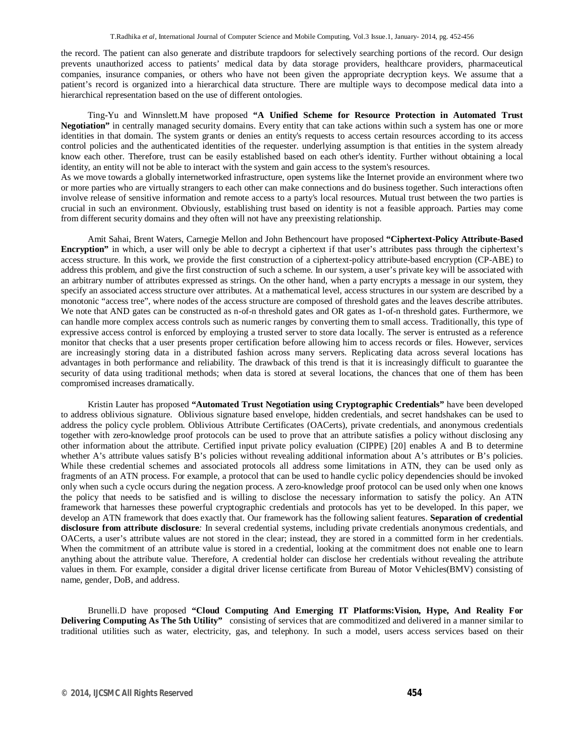the record. The patient can also generate and distribute trapdoors for selectively searching portions of the record. Our design prevents unauthorized access to patients' medical data by data storage providers, healthcare providers, pharmaceutical companies, insurance companies, or others who have not been given the appropriate decryption keys. We assume that a patient's record is organized into a hierarchical data structure. There are multiple ways to decompose medical data into a hierarchical representation based on the use of different ontologies.

 Ting-Yu and Winnslett.M have proposed **"A Unified Scheme for Resource Protection in Automated Trust Negotiation"** in centrally managed security domains. Every entity that can take actions within such a system has one or more identities in that domain. The system grants or denies an entity's requests to access certain resources according to its access control policies and the authenticated identities of the requester. underlying assumption is that entities in the system already know each other. Therefore, trust can be easily established based on each other's identity. Further without obtaining a local identity, an entity will not be able to interact with the system and gain access to the system's resources.

As we move towards a globally internetworked infrastructure, open systems like the Internet provide an environment where two or more parties who are virtually strangers to each other can make connections and do business together. Such interactions often involve release of sensitive information and remote access to a party's local resources. Mutual trust between the two parties is crucial in such an environment. Obviously, establishing trust based on identity is not a feasible approach. Parties may come from different security domains and they often will not have any preexisting relationship.

 Amit Sahai, Brent Waters, Carnegie Mellon and John Bethencourt have proposed **"Ciphertext-Policy Attribute-Based Encryption"** in which, a user will only be able to decrypt a ciphertext if that user's attributes pass through the ciphertext's access structure. In this work, we provide the first construction of a ciphertext-policy attribute-based encryption (CP-ABE) to address this problem, and give the first construction of such a scheme. In our system, a user's private key will be associated with an arbitrary number of attributes expressed as strings. On the other hand, when a party encrypts a message in our system, they specify an associated access structure over attributes. At a mathematical level, access structures in our system are described by a monotonic "access tree", where nodes of the access structure are composed of threshold gates and the leaves describe attributes. We note that AND gates can be constructed as n-of-n threshold gates and OR gates as 1-of-n threshold gates. Furthermore, we can handle more complex access controls such as numeric ranges by converting them to small access. Traditionally, this type of expressive access control is enforced by employing a trusted server to store data locally. The server is entrusted as a reference monitor that checks that a user presents proper certification before allowing him to access records or files. However, services are increasingly storing data in a distributed fashion across many servers. Replicating data across several locations has advantages in both performance and reliability. The drawback of this trend is that it is increasingly difficult to guarantee the security of data using traditional methods; when data is stored at several locations, the chances that one of them has been compromised increases dramatically.

 Kristin Lauter has proposed **"Automated Trust Negotiation using Cryptographic Credentials"** have been developed to address oblivious signature. Oblivious signature based envelope, hidden credentials, and secret handshakes can be used to address the policy cycle problem. Oblivious Attribute Certificates (OACerts), private credentials, and anonymous credentials together with zero-knowledge proof protocols can be used to prove that an attribute satisfies a policy without disclosing any other information about the attribute. Certified input private policy evaluation (CIPPE) [20] enables A and B to determine whether A's attribute values satisfy B's policies without revealing additional information about A's attributes or B's policies. While these credential schemes and associated protocols all address some limitations in ATN, they can be used only as fragments of an ATN process. For example, a protocol that can be used to handle cyclic policy dependencies should be invoked only when such a cycle occurs during the negation process. A zero-knowledge proof protocol can be used only when one knows the policy that needs to be satisfied and is willing to disclose the necessary information to satisfy the policy. An ATN framework that harnesses these powerful cryptographic credentials and protocols has yet to be developed. In this paper, we develop an ATN framework that does exactly that. Our framework has the following salient features. **Separation of credential disclosure from attribute disclosure***:* In several credential systems, including private credentials anonymous credentials, and OACerts, a user's attribute values are not stored in the clear; instead, they are stored in a committed form in her credentials. When the commitment of an attribute value is stored in a credential, looking at the commitment does not enable one to learn anything about the attribute value. Therefore, A credential holder can disclose her credentials without revealing the attribute values in them. For example, consider a digital driver license certificate from Bureau of Motor Vehicles(BMV) consisting of name, gender, DoB, and address.

 Brunelli.D have proposed **"Cloud Computing And Emerging IT Platforms:Vision, Hype, And Reality For Delivering Computing As The 5th Utility"** consisting of services that are commoditized and delivered in a manner similar to traditional utilities such as water, electricity, gas, and telephony. In such a model, users access services based on their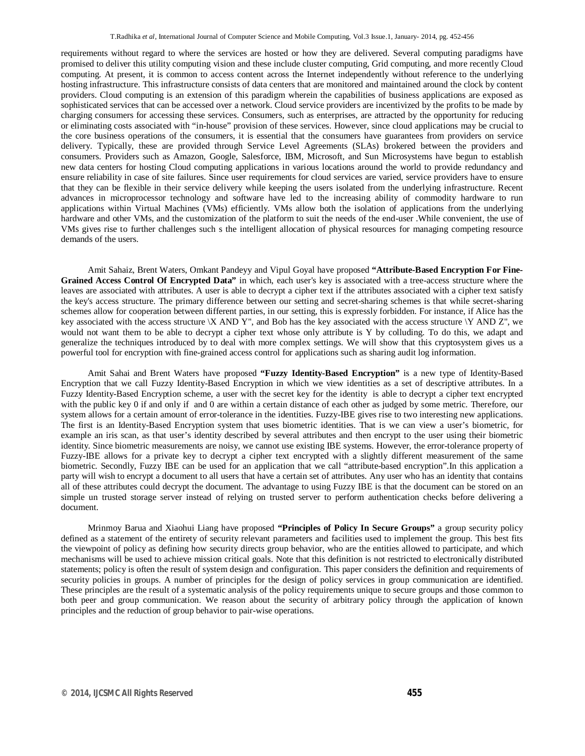requirements without regard to where the services are hosted or how they are delivered. Several computing paradigms have promised to deliver this utility computing vision and these include cluster computing, Grid computing, and more recently Cloud computing. At present, it is common to access content across the Internet independently without reference to the underlying hosting infrastructure. This infrastructure consists of data centers that are monitored and maintained around the clock by content providers. Cloud computing is an extension of this paradigm wherein the capabilities of business applications are exposed as sophisticated services that can be accessed over a network. Cloud service providers are incentivized by the profits to be made by charging consumers for accessing these services. Consumers, such as enterprises, are attracted by the opportunity for reducing or eliminating costs associated with "in-house" provision of these services. However, since cloud applications may be crucial to the core business operations of the consumers, it is essential that the consumers have guarantees from providers on service delivery. Typically, these are provided through Service Level Agreements (SLAs) brokered between the providers and consumers. Providers such as Amazon, Google, Salesforce, IBM, Microsoft, and Sun Microsystems have begun to establish new data centers for hosting Cloud computing applications in various locations around the world to provide redundancy and ensure reliability in case of site failures. Since user requirements for cloud services are varied, service providers have to ensure that they can be flexible in their service delivery while keeping the users isolated from the underlying infrastructure. Recent advances in microprocessor technology and software have led to the increasing ability of commodity hardware to run applications within Virtual Machines (VMs) efficiently. VMs allow both the isolation of applications from the underlying hardware and other VMs, and the customization of the platform to suit the needs of the end-user .While convenient, the use of VMs gives rise to further challenges such s the intelligent allocation of physical resources for managing competing resource demands of the users.

 Amit Sahaiz, Brent Waters, Omkant Pandeyy and Vipul Goyal have proposed **"Attribute-Based Encryption For Fine-Grained Access Control Of Encrypted Data"** in which, each user's key is associated with a tree-access structure where the leaves are associated with attributes. A user is able to decrypt a cipher text if the attributes associated with a cipher text satisfy the key's access structure. The primary difference between our setting and secret-sharing schemes is that while secret-sharing schemes allow for cooperation between different parties, in our setting, this is expressly forbidden. For instance, if Alice has the key associated with the access structure  $\overline{X}$  AND Y", and Bob has the key associated with the access structure  $\overline{Y}$  AND Z", we would not want them to be able to decrypt a cipher text whose only attribute is Y by colluding. To do this, we adapt and generalize the techniques introduced by to deal with more complex settings. We will show that this cryptosystem gives us a powerful tool for encryption with fine-grained access control for applications such as sharing audit log information.

 Amit Sahai and Brent Waters have proposed **"Fuzzy Identity-Based Encryption"** is a new type of Identity-Based Encryption that we call Fuzzy Identity-Based Encryption in which we view identities as a set of descriptive attributes. In a Fuzzy Identity-Based Encryption scheme, a user with the secret key for the identity is able to decrypt a cipher text encrypted with the public key 0 if and only if and 0 are within a certain distance of each other as judged by some metric. Therefore, our system allows for a certain amount of error-tolerance in the identities. Fuzzy-IBE gives rise to two interesting new applications. The first is an Identity-Based Encryption system that uses biometric identities. That is we can view a user's biometric, for example an iris scan, as that user's identity described by several attributes and then encrypt to the user using their biometric identity. Since biometric measurements are noisy, we cannot use existing IBE systems. However, the error-tolerance property of Fuzzy-IBE allows for a private key to decrypt a cipher text encrypted with a slightly different measurement of the same biometric. Secondly, Fuzzy IBE can be used for an application that we call "attribute-based encryption".In this application a party will wish to encrypt a document to all users that have a certain set of attributes. Any user who has an identity that contains all of these attributes could decrypt the document. The advantage to using Fuzzy IBE is that the document can be stored on an simple un trusted storage server instead of relying on trusted server to perform authentication checks before delivering a document.

 Mrinmoy Barua and Xiaohui Liang have proposed **"Principles of Policy In Secure Groups"** a group security policy defined as a statement of the entirety of security relevant parameters and facilities used to implement the group. This best fits the viewpoint of policy as defining how security directs group behavior, who are the entities allowed to participate, and which mechanisms will be used to achieve mission critical goals. Note that this definition is not restricted to electronically distributed statements; policy is often the result of system design and configuration. This paper considers the definition and requirements of security policies in groups. A number of principles for the design of policy services in group communication are identified. These principles are the result of a systematic analysis of the policy requirements unique to secure groups and those common to both peer and group communication. We reason about the security of arbitrary policy through the application of known principles and the reduction of group behavior to pair-wise operations.